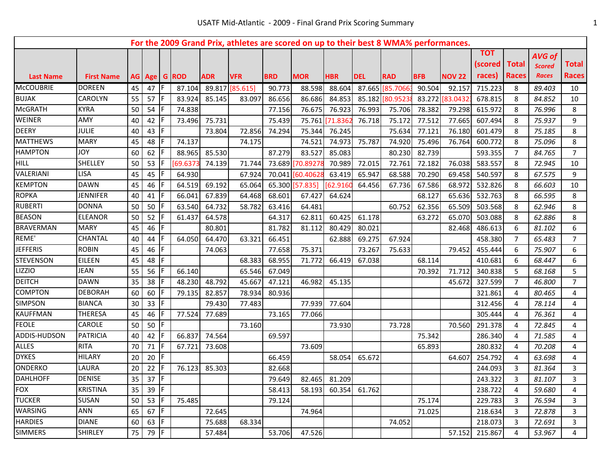|                  |                   |    |      |     |              |            | For the 2009 Grand Prix, athletes are scored on up to their best 8 WMA% performances. |            |            |            |            |                  |            |               |                            |                              |                                                |                              |
|------------------|-------------------|----|------|-----|--------------|------------|---------------------------------------------------------------------------------------|------------|------------|------------|------------|------------------|------------|---------------|----------------------------|------------------------------|------------------------------------------------|------------------------------|
| <b>Last Name</b> | <b>First Name</b> |    |      |     | AG Age G ROD | <b>ADR</b> | <b>VFR</b>                                                                            | <b>BRD</b> | <b>MOR</b> | <b>HBR</b> | <b>DEL</b> | <b>RAD</b>       | <b>BFB</b> | <b>NOV 22</b> | тот<br>(scored l<br>races) | <b>Total</b><br><b>Races</b> | <b>AVG of</b><br><b>Scored</b><br><b>Races</b> | <b>Total</b><br><b>Races</b> |
| <b>McCOUBRIE</b> | <b>DOREEN</b>     | 45 | 47   | -IF | 87.104       |            | 89.817 [85.615]                                                                       | 90.773     | 88.598     | 88.604     |            | 87.665 [85.70663 | 90.504     | 92.157        | 715.223                    | 8                            | 89.403                                         | 10                           |
| <b>BUJAK</b>     | CAROLYN           | 55 | 57   | IF. | 83.924       | 85.145     | 83.097                                                                                | 86.656     | 86.686     | 84.853     |            | 85.182 80.9523   | 83.272     | [83.0432]     | 678.815                    | 8                            | 84.852                                         | 10                           |
| <b>McGRATH</b>   | <b>KYRA</b>       | 50 | 54   | IF. | 74.838       |            |                                                                                       | 77.156     | 76.675     | 76.923     | 76.993     | 75.706           | 78.382     | 79.298        | 615.972                    | 8                            | 76.996                                         | 8                            |
| <b>WEINER</b>    | <b>AMY</b>        | 40 | 42   | IF. | 73.496       | 75.731     |                                                                                       | 75.439     | 75.761     | 71.8362    | 76.718     | 75.172           | 77.512     | 77.665        | 607.494                    | 8                            | 75.937                                         | 9                            |
| <b>DEERY</b>     | <b>JULIE</b>      | 40 | 43   | IF. |              | 73.804     | 72.856                                                                                | 74.294     | 75.344     | 76.245     |            | 75.634           | 77.121     | 76.180        | 601.479                    | 8                            | 75.185                                         | 8                            |
| <b>MATTHEWS</b>  | <b>MARY</b>       | 45 | 48   | IF  | 74.137       |            | 74.175                                                                                |            | 74.521     | 74.973     | 75.787     | 74.920           | 75.496     | 76.764        | 600.772                    | 8                            | 75.096                                         | 8                            |
| <b>HAMPTON</b>   | YOL               | 60 | 62   |     | 88.965       | 85.530     |                                                                                       | 87.279     | 83.527     | 85.083     |            | 80.230           | 82.739     |               | 593.355                    | $\overline{7}$               | 84.765                                         | $\overline{7}$               |
| <b>HILL</b>      | SHELLEY           | 50 | 53   | IF  | 69.6373      | 74.139     | 71.744                                                                                | 73.689     | 70.8927    | 70.989     | 72.015     | 72.761           | 72.182     | 76.038        | 583.557                    | 8                            | 72.945                                         | 10                           |
| VALERIANI        | LISA              | 45 | 45   | IF  | 64.930       |            | 67.924                                                                                | 70.041     | [60.4062]  | 63.419     | 65.947     | 68.588           | 70.290     | 69.458        | 540.597                    | 8                            | 67.575                                         | 9                            |
| <b>KEMPTON</b>   | <b>DAWN</b>       | 45 | 46   | IF  | 64.519       | 69.192     | 65.064                                                                                | 65.300     | [57.835]   | 62.9160    | 64.456     | 67.736           | 67.586     | 68.972        | 532.826                    | 8                            | 66.603                                         | 10                           |
| <b>ROPKA</b>     | <b>JENNIFER</b>   | 40 | 41   | IF  | 66.041       | 67.839     | 64.468                                                                                | 68.601     | 67.427     | 64.624     |            |                  | 68.127     | 65.636        | 532.763                    | 8                            | 66.595                                         | 8                            |
| <b>RUBERTI</b>   | <b>DONNA</b>      | 50 | 50   | IF  | 63.540       | 64.732     | 58.782                                                                                | 63.416     | 64.481     |            |            | 60.752           | 62.356     | 65.509        | 503.568                    | 8                            | 62.946                                         | 8                            |
| <b>BEASON</b>    | <b>ELEANOR</b>    | 50 | 52   | IF  | 61.437       | 64.578     |                                                                                       | 64.317     | 62.811     | 60.425     | 61.178     |                  | 63.272     | 65.070        | 503.088                    | 8                            | 62.886                                         | 8                            |
| <b>BRAVERMAN</b> | <b>MARY</b>       | 45 | 46   | IF  |              | 80.801     |                                                                                       | 81.782     | 81.112     | 80.429     | 80.021     |                  |            | 82.468        | 486.613                    | 6                            | 81.102                                         | 6                            |
| REME'            | <b>CHANTAL</b>    | 40 | 44   | IF  | 64.050       | 64.470     | 63.321                                                                                | 66.451     |            | 62.888     | 69.275     | 67.924           |            |               | 458.380                    | $\overline{7}$               | 65.483                                         | $\overline{7}$               |
| <b>JEFFERIS</b>  | <b>ROBIN</b>      | 45 | 46   | IF. |              | 74.063     |                                                                                       | 77.658     | 75.371     |            | 73.267     | 75.633           |            | 79.452        | 455.444                    | 6                            | 75.907                                         | 6                            |
| <b>STEVENSON</b> | <b>EILEEN</b>     | 45 | 48   | F   |              |            | 68.383                                                                                | 68.955     | 71.772     | 66.419     | 67.038     |                  | 68.114     |               | 410.681                    | 6                            | 68.447                                         | 6                            |
| LIZZIO           | JEAN              | 55 | 56   | IF  | 66.140       |            | 65.546                                                                                | 67.049     |            |            |            |                  | 70.392     | 71.712        | 340.838                    | 5                            | 68.168                                         | 5                            |
| <b>DEITCH</b>    | <b>DAWN</b>       | 35 | 38   | F   | 48.230       | 48.792     | 45.667                                                                                | 47.121     | 46.982     | 45.135     |            |                  |            | 45.672        | 327.599                    | $\overline{7}$               | 46.800                                         | $\overline{7}$               |
| <b>COMPTON</b>   | <b>DEBORAH</b>    | 60 | 60   | IF  | 79.135       | 82.857     | 78.934                                                                                | 80.936     |            |            |            |                  |            |               | 321.861                    | 4                            | 80.465                                         | 4                            |
| <b>SIMPSON</b>   | <b>BIANCA</b>     | 30 | 33   | IF  |              | 79.430     | 77.483                                                                                |            | 77.939     | 77.604     |            |                  |            |               | 312.456                    | 4                            | 78.114                                         | 4                            |
| KAUFFMAN         | <b>THERESA</b>    | 45 | 46   | IF  | 77.524       | 77.689     |                                                                                       | 73.165     | 77.066     |            |            |                  |            |               | 305.444                    | 4                            | 76.361                                         | 4                            |
| <b>FEOLE</b>     | CAROLE            | 50 | 50   | IF  |              |            | 73.160                                                                                |            |            | 73.930     |            | 73.728           |            | 70.560        | 291.378                    | 4                            | 72.845                                         | 4                            |
| ADDIS-HUDSON     | <b>PATRICIA</b>   | 40 | 42   | IF  | 66.837       | 74.564     |                                                                                       | 69.597     |            |            |            |                  | 75.342     |               | 286.340                    | 4                            | 71.585                                         | 4                            |
| <b>ALLES</b>     | <b>RITA</b>       | 70 | 71   | IF  | 67.721       | 73.608     |                                                                                       |            | 73.609     |            |            |                  | 65.893     |               | 280.832                    | 4                            | 70.208                                         | 4                            |
| <b>DYKES</b>     | <b>HILARY</b>     | 20 | 20   | IF  |              |            |                                                                                       | 66.459     |            | 58.054     | 65.672     |                  |            | 64.607        | 254.792                    | 4                            | 63.698                                         | 4                            |
| ONDERKO          | LAURA             | 20 | 22   | IF. | 76.123       | 85.303     |                                                                                       | 82.668     |            |            |            |                  |            |               | 244.093                    | 3                            | 81.364                                         | 3                            |
| <b>DAHLHOFF</b>  | <b>DENISE</b>     | 35 | 37   | IF. |              |            |                                                                                       | 79.649     | 82.465     | 81.209     |            |                  |            |               | 243.322                    | 3                            | 81.107                                         | $\overline{3}$               |
| <b>FOX</b>       | <b>KRISTINA</b>   | 35 | 39   | IF. |              |            |                                                                                       | 58.413     | 58.193     | 60.354     | 61.762     |                  |            |               | 238.722                    | 4                            | 59.680                                         | 4                            |
| <b>TUCKER</b>    | SUSAN             | 50 | 53   | IF. | 75.485       |            |                                                                                       | 79.124     |            |            |            |                  | 75.174     |               | 229.783                    | 3                            | 76.594                                         | 3                            |
| WARSING          | ANN               | 65 | 67 F |     |              | 72.645     |                                                                                       |            | 74.964     |            |            |                  | 71.025     |               | 218.634                    | 3                            | 72.878                                         | 3                            |
| <b>HARDIES</b>   | <b>DIANE</b>      | 60 | 63   | IF  |              | 75.688     | 68.334                                                                                |            |            |            |            | 74.052           |            |               | 218.073                    | 3                            | 72.691                                         | 3                            |
| <b>SIMMERS</b>   | <b>SHIRLEY</b>    | 75 | 79 F |     |              | 57.484     |                                                                                       | 53.706     | 47.526     |            |            |                  |            | 57.152        | 215.867                    | 4                            | 53.967                                         | $\overline{4}$               |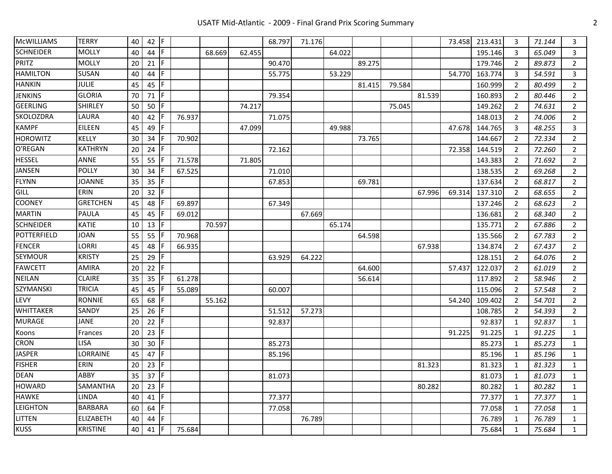## USATF Mid-Atlantic - 2009 - Final Grand Prix Scoring Summary 2

| <b>McWILLIAMS</b> | <b>TERRY</b>     | 40 | $42$ F  |     |        |        |        | 68.797 | 71.176 |        |        |        |        | 73.458 | 213.431 | 3              | 71.144 | $\overline{3}$ |
|-------------------|------------------|----|---------|-----|--------|--------|--------|--------|--------|--------|--------|--------|--------|--------|---------|----------------|--------|----------------|
| <b>SCHNEIDER</b>  | MOLLY            | 40 | $44$ F  |     |        | 68.669 | 62.455 |        |        | 64.022 |        |        |        |        | 195.146 | 3              | 65.049 | 3              |
| PRITZ             | <b>MOLLY</b>     | 20 | $21$  F |     |        |        |        | 90.470 |        |        | 89.275 |        |        |        | 179.746 | $\overline{2}$ | 89.873 | $\overline{2}$ |
| <b>HAMILTON</b>   | SUSAN            | 40 | 44      | l F |        |        |        | 55.775 |        | 53.229 |        |        |        | 54.770 | 163.774 | 3              | 54.591 | 3              |
| <b>HANKIN</b>     | <b>JULIE</b>     | 45 | $45$ F  |     |        |        |        |        |        |        | 81.415 | 79.584 |        |        | 160.999 | $\overline{2}$ | 80.499 | $\overline{2}$ |
| <b>JENKINS</b>    | <b>GLORIA</b>    | 70 | 71      | l F |        |        |        | 79.354 |        |        |        |        | 81.539 |        | 160.893 | 2              | 80.446 | $\overline{2}$ |
| GEERLING          | <b>SHIRLEY</b>   | 50 | 50      | IF. |        |        | 74.217 |        |        |        |        | 75.045 |        |        | 149.262 | $\overline{2}$ | 74.631 | $\overline{2}$ |
| <b>SKOLOZDRA</b>  | LAURA            | 40 | 42      | IF. | 76.937 |        |        | 71.075 |        |        |        |        |        |        | 148.013 | $\overline{2}$ | 74.006 | $\overline{2}$ |
| <b>KAMPF</b>      | EILEEN           | 45 | 49      | F   |        |        | 47.099 |        |        | 49.988 |        |        |        | 47.678 | 144.765 | 3              | 48.255 | 3              |
| <b>HOROWITZ</b>   | KELLY            | 30 | 34 F    |     | 70.902 |        |        |        |        |        | 73.765 |        |        |        | 144.667 | 2              | 72.334 | $\overline{2}$ |
| O'REGAN           | <b>KATHRYN</b>   | 20 | 24      | IF. |        |        |        | 72.162 |        |        |        |        |        | 72.358 | 144.519 | 2              | 72.260 | $\overline{2}$ |
| <b>HESSEL</b>     | ANNE             | 55 | $55$ F  |     | 71.578 |        | 71.805 |        |        |        |        |        |        |        | 143.383 | 2              | 71.692 | $\overline{2}$ |
| <b>JANSEN</b>     | <b>POLLY</b>     | 30 | 34      | IF  | 67.525 |        |        | 71.010 |        |        |        |        |        |        | 138.535 | 2              | 69.268 | $\overline{2}$ |
| FLYNN             | <b>JOANNE</b>    | 35 | 35      | F   |        |        |        | 67.853 |        |        | 69.781 |        |        |        | 137.634 | 2              | 68.817 | $\overline{2}$ |
| <b>GILL</b>       | ERIN             | 20 | 32      | IF. |        |        |        |        |        |        |        |        | 67.996 | 69.314 | 137.310 | $\overline{2}$ | 68.655 | $\overline{2}$ |
| <b>COONEY</b>     | <b>GRETCHEN</b>  | 45 | 48      | IF  | 69.897 |        |        | 67.349 |        |        |        |        |        |        | 137.246 | $\overline{2}$ | 68.623 | $\overline{2}$ |
| <b>MARTIN</b>     | PAULA            | 45 | 45      | IF  | 69.012 |        |        |        | 67.669 |        |        |        |        |        | 136.681 | 2              | 68.340 | $\overline{2}$ |
| <b>SCHNEIDER</b>  | KATIE            | 10 | 13      | IF. |        | 70.597 |        |        |        | 65.174 |        |        |        |        | 135.771 | $\overline{2}$ | 67.886 | $\overline{2}$ |
| POTTERFIELD       | JOAN             | 55 | $55$ F  |     | 70.968 |        |        |        |        |        | 64.598 |        |        |        | 135.566 | 2              | 67.783 | $\overline{2}$ |
| <b>FENCER</b>     | LORRI            | 45 | 48      | IF  | 66.935 |        |        |        |        |        |        |        | 67.938 |        | 134.874 | 2              | 67.437 | $\overline{2}$ |
| <b>SEYMOUR</b>    | KRISTY           | 25 | 29      | IF. |        |        |        | 63.929 | 64.222 |        |        |        |        |        | 128.151 | 2              | 64.076 | $\overline{2}$ |
| <b>FAWCETT</b>    | AMIRA            | 20 | 22      | l F |        |        |        |        |        |        | 64.600 |        |        | 57.437 | 122.037 | 2              | 61.019 | $\overline{2}$ |
| <b>NEILAN</b>     | CLAIRE           | 35 | 35      | IF  | 61.278 |        |        |        |        |        | 56.614 |        |        |        | 117.892 | 2              | 58.946 | $\overline{2}$ |
| SZYMANSKI         | TRICIA           | 45 | 45 F    |     | 55.089 |        |        | 60.007 |        |        |        |        |        |        | 115.096 | 2              | 57.548 | $\overline{2}$ |
| LEVY              | <b>RONNIE</b>    | 65 | 68      | F   |        | 55.162 |        |        |        |        |        |        |        | 54.240 | 109.402 | 2              | 54.701 | $\overline{2}$ |
| <b>WHITTAKER</b>  | SANDY            | 25 | 26      | IF  |        |        |        | 51.512 | 57.273 |        |        |        |        |        | 108.785 | 2              | 54.393 | $\overline{2}$ |
| MURAGE            | JANE             | 20 | $22$ F  |     |        |        |        | 92.837 |        |        |        |        |        |        | 92.837  | 1              | 92.837 | $\mathbf{1}$   |
| Koons             | Frances          | 20 | 23      | F   |        |        |        |        |        |        |        |        |        | 91.225 | 91.225  | 1              | 91.225 | $\mathbf{1}$   |
| <b>CRON</b>       | LISA             | 30 | 30      | IF. |        |        |        | 85.273 |        |        |        |        |        |        | 85.273  | 1              | 85.273 | $\mathbf{1}$   |
| <b>JASPER</b>     | LORRAINE         | 45 | 47      | F   |        |        |        | 85.196 |        |        |        |        |        |        | 85.196  | 1              | 85.196 | $\mathbf{1}$   |
| <b>FISHER</b>     | ERIN             | 20 | 23      | IF. |        |        |        |        |        |        |        |        | 81.323 |        | 81.323  | 1              | 81.323 | $\mathbf{1}$   |
| DEAN              | ABBY             | 35 | $37$ F  |     |        |        |        | 81.073 |        |        |        |        |        |        | 81.073  | 1              | 81.073 | $\mathbf{1}$   |
| <b>HOWARD</b>     | SAMANTHA         | 20 | 23      | IF. |        |        |        |        |        |        |        |        | 80.282 |        | 80.282  | 1              | 80.282 | $\mathbf{1}$   |
| <b>HAWKE</b>      | LINDA            | 40 | 41      | IF. |        |        |        | 77.377 |        |        |        |        |        |        | 77.377  | 1              | 77.377 | $\mathbf{1}$   |
| <b>LEIGHTON</b>   | <b>BARBARA</b>   | 60 | 64      | F   |        |        |        | 77.058 |        |        |        |        |        |        | 77.058  | 1              | 77.058 | $\mathbf{1}$   |
| LITTEN            | <b>ELIZABETH</b> | 40 | 44      | F   |        |        |        |        | 76.789 |        |        |        |        |        | 76.789  | 1              | 76.789 | $\mathbf{1}$   |
| KUSS              | <b>KRISTINE</b>  | 40 | $41$ F  |     | 75.684 |        |        |        |        |        |        |        |        |        | 75.684  | $\mathbf{1}$   | 75.684 | $\mathbf{1}$   |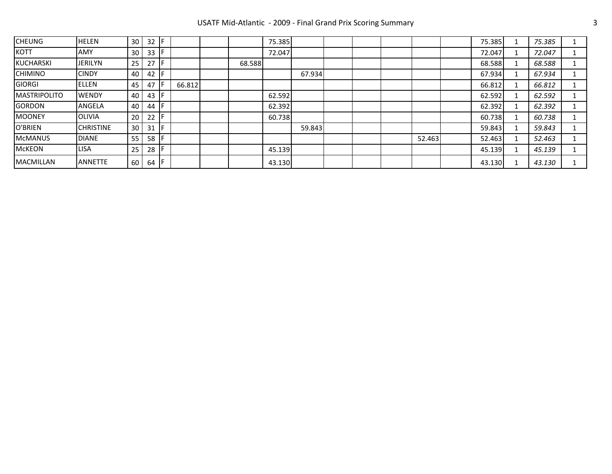## USATF Mid-Atlantic - 2009 - Final Grand Prix Scoring Summary 33

| <b>CHEUNG</b>        | <b>HELEN</b>     | 30   | 32 |        |        | 75.385 |        |  |        | 75.385 | 75.385 |  |
|----------------------|------------------|------|----|--------|--------|--------|--------|--|--------|--------|--------|--|
| KOTT                 | <b>AMY</b>       | 30   | 33 |        |        | 72.047 |        |  |        | 72.047 | 72.047 |  |
| KUCHARSKI            | JERILYN          | 25   | 27 |        | 68.588 |        |        |  |        | 68.588 | 68.588 |  |
| <b>CHIMINO</b>       | <b>CINDY</b>     | 40 l | 42 |        |        |        | 67.934 |  |        | 67.934 | 67.934 |  |
| GIORGI               | <b>I</b> ELLEN   | 45   | 47 | 66.812 |        |        |        |  |        | 66.812 | 66.812 |  |
| <b>IMASTRIPOLITO</b> | <b>I</b> WENDY   | 40   | 43 |        |        | 62.592 |        |  |        | 62.592 | 62.592 |  |
| GORDON               | ANGELA           | 40   | 44 |        |        | 62.392 |        |  |        | 62.392 | 62.392 |  |
| MOONEY               | IOLIVIA          | 20   | 22 |        |        | 60.738 |        |  |        | 60.738 | 60.738 |  |
| O'BRIEN              | <b>CHRISTINE</b> | 30   | 31 |        |        |        | 59.843 |  |        | 59.843 | 59.843 |  |
| McMANUS              | <b>DIANE</b>     | 55   | 58 |        |        |        |        |  | 52.463 | 52.463 | 52.463 |  |
| McKEON               | LISA             | 25   | 28 |        |        | 45.139 |        |  |        | 45.139 | 45.139 |  |
| <b>MACMILLAN</b>     | <b>ANNETTE</b>   | 60   | 64 |        |        | 43.130 |        |  |        | 43.130 | 43.130 |  |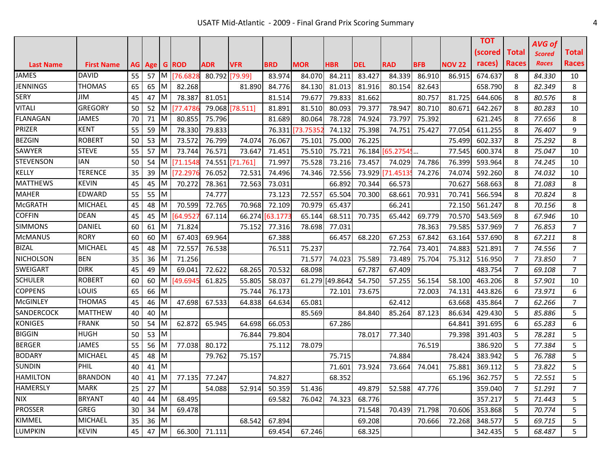|                  |                   |    |            |          |              |                |                 |            |            |                 |        |                  |            |               | ТОТ       |       | <b>AVG of</b> |                |
|------------------|-------------------|----|------------|----------|--------------|----------------|-----------------|------------|------------|-----------------|--------|------------------|------------|---------------|-----------|-------|---------------|----------------|
|                  |                   |    |            |          |              |                |                 |            |            |                 |        |                  |            |               | (scored l | Total | <b>Scored</b> | <b>Total</b>   |
| <b>Last Name</b> | <b>First Name</b> | AG | <b>Age</b> |          | <b>G</b> ROD | ADR            | <b>VFR</b>      | <b>BRD</b> | <b>MOR</b> | <b>HBR</b>      | DEL    | <b>RAD</b>       | <b>BFB</b> | <b>NOV 22</b> | races)    | Races | <b>Races</b>  | <b>Races</b>   |
| <b>JAMES</b>     | <b>DAVID</b>      | 55 | 57         |          | M [76.682    | 80.792 [79.99] |                 | 83.974     | 84.070     | 84.211          | 83.427 | 84.339           | 86.910     | 86.915        | 674.637   | 8     | 84.330        | 10             |
| <b>JENNINGS</b>  | <b>THOMAS</b>     | 65 | 65         | ΙM       | 82.268       |                | 81.890          | 84.776     | 84.130     | 81.013          | 81.916 | 80.154           | 82.643     |               | 658.790   | 8     | 82.349        | 8              |
| <b>SERY</b>      | JIM               | 45 | 47         | ΙM       | 78.387       | 81.051         |                 | 81.514     | 79.677     | 79.833          | 81.662 |                  | 80.757     | 81.725        | 644.606   | 8     | 80.576        | 8              |
| <b>VITALI</b>    | <b>GREGORY</b>    | 50 | 52         | M        | 177.4786     |                | 79.068 [78.511] | 81.891     | 81.510     | 80.093          | 79.377 | 78.947           | 80.710     | 80.671        | 642.267   | 8     | 80.283        | 10             |
| <b>FLANAGAN</b>  | <b>JAMES</b>      | 70 | 71         | M        | 80.855       | 75.796         |                 | 81.689     | 80.064     | 78.728          | 74.924 | 73.797           | 75.392     |               | 621.245   | 8     | 77.656        | 8              |
| PRIZER           | <b>KENT</b>       | 55 | 59         | M        | 78.330       | 79.833         |                 | 76.331     | 73.7535    | 74.132          | 75.398 | 74.751           | 75.427     | 77.054        | 611.255   | 8     | 76.407        | 9              |
| <b>BEZGIN</b>    | <b>ROBERT</b>     | 50 | 53         | ΙM       | 73.572       | 76.799         | 74.074          | 76.067     | 75.101     | 75.000          | 76.225 |                  |            | 75.499        | 602.337   | 8     | 75.292        | 8              |
| SAWYER           | <b>STEVE</b>      | 55 | 57         | ΙM       | 73.744       | 76.571         | 73.647          | 71.451     | 75.510     | 75.721          |        | 76.184 [65.2754] |            | 77.545        | 600.374   | 8     | 75.047        | 10             |
| STEVENSON        | <b>IAN</b>        | 50 | 54         | ΙM       | [71.1548     | 74.551         | [71.761]        | 71.997     | 75.528     | 73.216          | 73.457 | 74.029           | 74.786     | 76.399        | 593.964   | 8     | 74.245        | 10             |
| KELLY            | <b>TERENCE</b>    | 35 | 39         | M        | [72.2976]    | 76.052         | 72.531          | 74.496     | 74.346     | 72.556          |        | 73.929 71.4513   | 74.276     | 74.074        | 592.260   | 8     | 74.032        | 10             |
| <b>MATTHEWS</b>  | <b>KEVIN</b>      | 45 | 45         | M        | 70.272       | 78.361         | 72.563          | 73.031     |            | 66.892          | 70.344 | 66.573           |            | 70.627        | 568.663   | 8     | 71.083        | 8              |
| <b>MAHER</b>     | EDWARD            | 55 | 55         | ΙM       |              | 74.777         |                 | 73.123     | 72.557     | 65.504          | 70.300 | 68.661           | 70.931     | 70.741        | 566.594   | 8     | 70.824        | 8              |
| <b>McGRATH</b>   | MICHAEL           | 45 | 48         | ΙM       | 70.599       | 72.765         | 70.968          | 72.109     | 70.979     | 65.437          |        | 66.241           |            | 72.150        | 561.247   | 8     | 70.156        | 8              |
| <b>COFFIN</b>    | <b>DEAN</b>       | 45 | 45         | M        | [64.952]     | 67.114         | 66.274          | [63.177    | 65.144     | 68.511          | 70.735 | 65.442           | 69.779     | 70.570        | 543.569   | 8     | 67.946        | 10             |
| <b>SIMMONS</b>   | DANIEL            | 60 | 61         | ΙM       | 71.824       |                | 75.152          | 77.316     | 78.698     | 77.031          |        |                  | 78.363     | 79.585        | 537.969   | 7     | 76.853        | $\overline{7}$ |
| <b>McMANUS</b>   | <b>RORY</b>       | 60 | 60         | ΙM       | 67.403       | 69.964         |                 | 67.388     |            | 66.457          | 68.220 | 67.253           | 67.842     | 63.164        | 537.690   | 8     | 67.211        | 8              |
| <b>BIZAL</b>     | MICHAEL           | 45 | 48         | ΙM       | 72.557       | 76.538         |                 | 76.511     | 75.237     |                 |        | 72.764           | 73.401     | 74.883        | 521.891   | 7     | 74.556        | $\overline{7}$ |
| <b>NICHOLSON</b> | <b>BEN</b>        | 35 | 36         | ΙM       | 71.256       |                |                 |            | 71.577     | 74.023          | 75.589 | 73.489           | 75.704     | 75.312        | 516.950   | 7     | 73.850        | $\overline{7}$ |
| SWEIGART         | <b>DIRK</b>       | 45 | 49         | ΙM       | 69.041       | 72.622         | 68.265          | 70.532     | 68.098     |                 | 67.787 | 67.409           |            |               | 483.754   | 7     | 69.108        | $\overline{7}$ |
| <b>SCHULER</b>   | <b>ROBERT</b>     | 60 | 60         | M        | [49.694]     | 61.825         | 55.805          | 58.037     |            | 61.279 [49.8642 | 54.750 | 57.255           | 56.154     | 58.100        | 463.206   | 8     | 57.901        | 10             |
| <b>COPPENS</b>   | LOUIS             | 65 | 66         | <b>M</b> |              |                | 75.744          | 76.173     |            | 72.101          | 73.675 |                  | 72.003     | 74.131        | 443.826   | 6     | 73.971        | 6              |
| <b>McGINLEY</b>  | <b>THOMAS</b>     | 45 | 46         | ΙM       | 47.698       | 67.533         | 64.838          | 64.634     | 65.081     |                 |        | 62.412           |            | 63.668        | 435.864   | 7     | 62.266        | 7              |
| SANDERCOCK       | <b>MATTHEW</b>    | 40 | 40         | M        |              |                |                 |            | 85.569     |                 | 84.840 | 85.264           | 87.123     | 86.634        | 429.430   | 5     | 85.886        | 5              |
| <b>KONIGES</b>   | <b>FRANK</b>      | 50 | 54         | M        | 62.872       | 65.945         | 64.698          | 66.053     |            | 67.286          |        |                  |            | 64.841        | 391.695   | 6     | 65.283        | 6              |
| <b>BIGGIN</b>    | <b>HUGH</b>       | 50 | 53         | ΙM       |              |                | 76.844          | 79.804     |            |                 | 78.017 | 77.340           |            | 79.398        | 391.403   | 5     | 78.281        | 5              |
| <b>BERGER</b>    | <b>JAMES</b>      | 55 | 56         | ΙM       | 77.038       | 80.172         |                 | 75.112     | 78.079     |                 |        |                  | 76.519     |               | 386.920   | 5     | 77.384        | 5              |
| <b>BODARY</b>    | <b>MICHAEL</b>    | 45 | 48         | M        |              | 79.762         | 75.157          |            |            | 75.715          |        | 74.884           |            | 78.424        | 383.942   | 5     | 76.788        | 5              |
| <b>SUNDIN</b>    | <b>PHIL</b>       | 40 | 41         | <b>M</b> |              |                |                 |            |            | 71.601          | 73.924 | 73.664           | 74.041     | 75.881        | 369.112   | 5     | 73.822        | 5              |
| <b>HAMILTON</b>  | <b>BRANDON</b>    | 40 | 41         | ΙM       | 77.135       | 77.247         |                 | 74.827     |            | 68.352          |        |                  |            | 65.196        | 362.757   | 5     | 72.551        | 5              |
| HAMERSLY         | <b>MARK</b>       | 25 | 27         | <b>M</b> |              | 54.088         | 52.914          | 50.359     | 51.436     |                 | 49.879 | 52.588           | 47.776     |               | 359.040   | 7     | 51.291        | $\overline{7}$ |
| <b>NIX</b>       | <b>BRYANT</b>     | 40 | 44         | M        | 68.495       |                |                 | 69.582     | 76.042     | 74.323          | 68.776 |                  |            |               | 357.217   | 5     | 71.443        | 5              |
| <b>PROSSER</b>   | GREG              | 30 | 34         | M        | 69.478       |                |                 |            |            |                 | 71.548 | 70.439           | 71.798     | 70.606        | 353.868   | 5     | 70.774        | 5              |
| KIMMEL           | <b>MICHAEL</b>    | 35 | 36         | M        |              |                | 68.542          | 67.894     |            |                 | 69.208 |                  | 70.666     | 72.268        | 348.577   | 5     | 69.715        | 5              |
| LUMPKIN          | <b>KEVIN</b>      | 45 | 47         | M        | 66.300       | 71.111         |                 | 69.454     | 67.246     |                 | 68.325 |                  |            |               | 342.435   | 5     | 68.487        | 5              |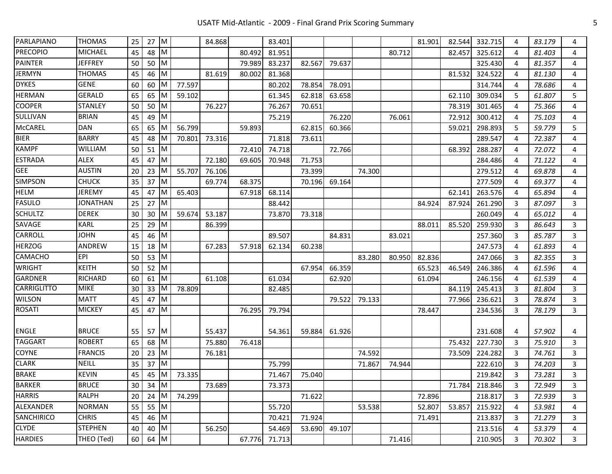| <b>PARLAPIANO</b>  | <b>THOMAS</b>   | 25 | $27$ M                     |                         |        | 84.868 |        | 83.401 |        |        |        |        | 81.901 | 82.544 | 332.715        | 4 | 83.179 | 4                       |
|--------------------|-----------------|----|----------------------------|-------------------------|--------|--------|--------|--------|--------|--------|--------|--------|--------|--------|----------------|---|--------|-------------------------|
| <b>PRECOPIO</b>    | <b>MICHAEL</b>  | 45 | 48                         | $\overline{\mathsf{M}}$ |        |        | 80.492 | 81.951 |        |        |        | 80.712 |        | 82.457 | 325.612        | 4 | 81.403 | 4                       |
| <b>PAINTER</b>     | <b>JEFFREY</b>  | 50 | 50 M                       |                         |        |        | 79.989 | 83.237 | 82.567 | 79.637 |        |        |        |        | 325.430        | 4 | 81.357 | 4                       |
| <b>JERMYN</b>      | <b>THOMAS</b>   | 45 | 46                         | <b>IM</b>               |        | 81.619 | 80.002 | 81.368 |        |        |        |        |        | 81.532 | 324.522        | 4 | 81.130 | 4                       |
| <b>DYKES</b>       | <b>GENE</b>     | 60 | 60                         | <b>M</b>                | 77.597 |        |        | 80.202 | 78.854 | 78.091 |        |        |        |        | 314.744        | 4 | 78.686 | 4                       |
| <b>HERMAN</b>      | <b>GERALD</b>   | 65 | 65                         | <b>IM</b>               | 59.102 |        |        | 61.345 | 62.818 | 63.658 |        |        |        | 62.110 | 309.034        | 5 | 61.807 | 5                       |
| <b>COOPER</b>      | STANLEY         | 50 | 50                         | <b>IM</b>               |        | 76.227 |        | 76.267 | 70.651 |        |        |        |        | 78.319 | 301.465        | 4 | 75.366 | 4                       |
| SULLIVAN           | <b>BRIAN</b>    | 45 | 49                         | <b>M</b>                |        |        |        | 75.219 |        | 76.220 |        | 76.061 |        | 72.912 | 300.412        | 4 | 75.103 | 4                       |
| <b>McCAREL</b>     | <b>DAN</b>      | 65 | 65 M                       |                         | 56.799 |        | 59.893 |        | 62.815 | 60.366 |        |        |        | 59.021 | 298.893        | 5 | 59.779 | 5                       |
| <b>BIER</b>        | <b>BARRY</b>    | 45 | 48                         | -IM                     | 70.801 | 73.316 |        | 71.818 | 73.611 |        |        |        |        |        | 289.547        | 4 | 72.387 | 4                       |
| <b>KAMPF</b>       | WILLIAM         | 50 | 51                         | $\mathsf{M}$            |        |        | 72.410 | 74.718 |        | 72.766 |        |        |        | 68.392 | 288.287        | 4 | 72.072 | 4                       |
| <b>ESTRADA</b>     | <b>ALEX</b>     | 45 | 47                         | M                       |        | 72.180 | 69.605 | 70.948 | 71.753 |        |        |        |        |        | 284.486        | 4 | 71.122 | 4                       |
| <b>GEE</b>         | <b>AUSTIN</b>   | 20 | 23                         | M                       | 55.707 | 76.106 |        |        | 73.399 |        | 74.300 |        |        |        | 279.512        | 4 | 69.878 | 4                       |
| <b>SIMPSON</b>     | <b>CHUCK</b>    | 35 | 37                         | <b>M</b>                |        | 69.774 | 68.375 |        | 70.196 | 69.164 |        |        |        |        | 277.509        | 4 | 69.377 | 4                       |
| <b>HELM</b>        | <b>JEREMY</b>   | 45 | 47                         | <b>IM</b>               | 65.403 |        | 67.918 | 68.114 |        |        |        |        |        | 62.141 | 263.576        | 4 | 65.894 | 4                       |
| <b>FASULO</b>      | <b>JONATHAN</b> | 25 | 27                         | $\mathsf{M}$            |        |        |        | 88.442 |        |        |        |        | 84.924 | 87.924 | 261.290        | 3 | 87.097 | 3                       |
| <b>SCHULTZ</b>     | <b>DEREK</b>    | 30 | 30                         | IM                      | 59.674 | 53.187 |        | 73.870 | 73.318 |        |        |        |        |        | 260.049        | 4 | 65.012 | 4                       |
| SAVAGE             | KARL            | 25 | 29                         | M                       |        | 86.399 |        |        |        |        |        |        | 88.011 | 85.520 | 259.930        | 3 | 86.643 | 3                       |
| CARROLL            | <b>JOHN</b>     | 45 | 46                         | $\mathsf{M}$            |        |        |        | 89.507 |        | 84.831 |        | 83.021 |        |        | 257.360        | 3 | 85.787 | 3                       |
| <b>HERZOG</b>      | ANDREW          | 15 | 18 M                       |                         |        | 67.283 | 57.918 | 62.134 | 60.238 |        |        |        |        |        | 247.573        | 4 | 61.893 | 4                       |
| CAMACHO            | <b>EPI</b>      | 50 | 53 M                       |                         |        |        |        |        |        |        | 83.280 | 80.950 | 82.836 |        | 247.066        | 3 | 82.355 | 3                       |
| <b>WRIGHT</b>      | <b>KEITH</b>    | 50 | 52                         | $\mathsf{M}$            |        |        |        |        | 67.954 | 66.359 |        |        | 65.523 | 46.549 | 246.386        | 4 | 61.596 | 4                       |
| <b>GARDNER</b>     | <b>RICHARD</b>  | 60 | $61$ M                     |                         |        | 61.108 |        | 61.034 |        | 62.920 |        |        | 61.094 |        | 246.156        | 4 | 61.539 | 4                       |
| <b>CARRIGLITTO</b> | <b>MIKE</b>     | 30 | $33$ M                     |                         | 78.809 |        |        | 82.485 |        |        |        |        |        | 84.119 | 245.413        | 3 | 81.804 | 3                       |
| <b>WILSON</b>      | <b>MATT</b>     | 45 | 47                         | $\overline{\mathsf{M}}$ |        |        |        |        |        | 79.522 | 79.133 |        |        | 77.966 | 236.621        | 3 | 78.874 | 3                       |
| <b>ROSATI</b>      | <b>MICKEY</b>   | 45 | 47 M                       |                         |        |        | 76.295 | 79.794 |        |        |        |        | 78.447 |        | 234.536        | 3 | 78.179 | $\mathbf{3}$            |
|                    |                 |    |                            |                         |        |        |        |        |        |        |        |        |        |        |                |   |        |                         |
| <b>ENGLE</b>       | <b>BRUCE</b>    | 55 | 57                         | $\mathsf{M}$            |        | 55.437 |        | 54.361 | 59.884 | 61.926 |        |        |        |        | 231.608        | 4 | 57.902 | 4                       |
| <b>TAGGART</b>     | <b>ROBERT</b>   | 65 | 68                         | $\mathsf{M}$            |        | 75.880 | 76.418 |        |        |        |        |        |        | 75.432 | 227.730        | 3 | 75.910 | $\overline{3}$          |
| <b>COYNE</b>       | <b>FRANCIS</b>  | 20 | $23$ M                     |                         |        | 76.181 |        |        |        |        | 74.592 |        |        | 73.509 | 224.282        | 3 | 74.761 | 3                       |
| <b>CLARK</b>       | NEILL           | 35 | 37                         | <b>M</b>                |        |        |        | 75.799 |        |        | 71.867 | 74.944 |        |        | 222.610        | 3 | 74.203 | 3                       |
| <b>BRAKE</b>       | <b>KEVIN</b>    | 45 | 45 M                       |                         | 73.335 |        |        | 71.467 | 75.040 |        |        |        |        |        | 219.842        | 3 | 73.281 | $\overline{\mathbf{3}}$ |
| <b>BARKER</b>      | <b>BRUCE</b>    |    | $30$ 34 M                  |                         |        | 73.689 |        | 73.373 |        |        |        |        |        |        | 71.784 218.846 | 3 | 72.949 | 3                       |
| <b>HARRIS</b>      | <b>RALPH</b>    | 20 | $24 \overline{\mathrm{M}}$ |                         | 74.299 |        |        |        | 71.622 |        |        |        | 72.896 |        | 218.817        | 3 | 72.939 | 3                       |
| ALEXANDER          | <b>NORMAN</b>   | 55 | 55 M                       |                         |        |        |        | 55.720 |        |        | 53.538 |        | 52.807 | 53.857 | 215.922        | 4 | 53.981 | 4                       |
| <b>SANCHIRICO</b>  | <b>CHRIS</b>    | 45 | 46 M                       |                         |        |        |        | 70.421 | 71.924 |        |        |        | 71.491 |        | 213.837        | 3 | 71.279 | 3                       |
| <b>CLYDE</b>       | <b>STEPHEN</b>  | 40 | 40 M                       |                         |        | 56.250 |        | 54.469 | 53.690 | 49.107 |        |        |        |        | 213.516        | 4 | 53.379 | 4                       |
| <b>HARDIES</b>     | THEO (Ted)      | 60 | 64 M                       |                         |        |        | 67.776 | 71.713 |        |        |        | 71.416 |        |        | 210.905        | 3 | 70.302 | 3                       |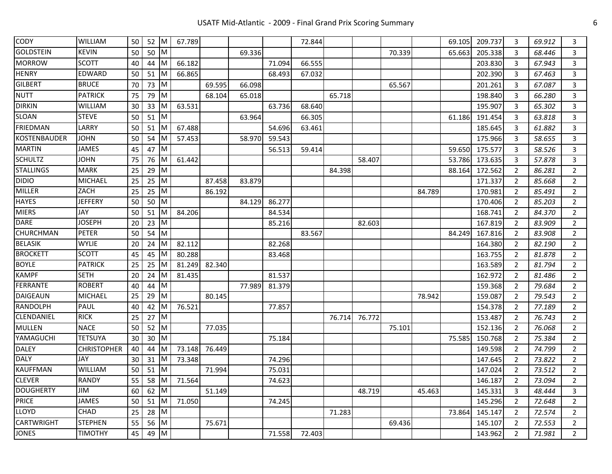| <b>CODY</b>       | WILLIAM            | 50 | $52$ M                     |                | 67.789      |        |        |        | 72.844 |        |        |        |        | 69.105 | 209.737 | 3              | 69.912 | 3              |
|-------------------|--------------------|----|----------------------------|----------------|-------------|--------|--------|--------|--------|--------|--------|--------|--------|--------|---------|----------------|--------|----------------|
| <b>GOLDSTEIN</b>  | <b>KEVIN</b>       | 50 | 50                         | <b>IM</b>      |             |        | 69.336 |        |        |        |        | 70.339 |        | 65.663 | 205.338 | 3              | 68.446 | 3              |
| <b>MORROW</b>     | <b>SCOTT</b>       | 40 | 44                         | <b>IM</b>      | 66.182      |        |        | 71.094 | 66.555 |        |        |        |        |        | 203.830 | 3              | 67.943 | 3              |
| <b>HENRY</b>      | EDWARD             | 50 | $51$ M                     |                | 66.865      |        |        | 68.493 | 67.032 |        |        |        |        |        | 202.390 | 3              | 67.463 | 3              |
| <b>GILBERT</b>    | <b>BRUCE</b>       | 70 | 73                         | <b>M</b>       |             | 69.595 | 66.098 |        |        |        |        | 65.567 |        |        | 201.261 | 3              | 67.087 | 3              |
| <b>NUTT</b>       | <b>PATRICK</b>     | 75 | 79                         | <b>M</b>       |             | 68.104 | 65.018 |        |        | 65.718 |        |        |        |        | 198.840 | 3              | 66.280 | 3              |
| <b>DIRKIN</b>     | WILLIAM            | 30 | 33                         | IМ             | 63.531      |        |        | 63.736 | 68.640 |        |        |        |        |        | 195.907 | 3              | 65.302 | 3              |
| SLOAN             | <b>STEVE</b>       | 50 | 51                         | $\mathsf{I}$ M |             |        | 63.964 |        | 66.305 |        |        |        |        | 61.186 | 191.454 | 3              | 63.818 | $\overline{3}$ |
| <b>FRIEDMAN</b>   | LARRY              | 50 | $51$ M                     |                | 67.488      |        |        | 54.696 | 63.461 |        |        |        |        |        | 185.645 | 3              | 61.882 | 3              |
| KOSTENBAUDER      | <b>JOHN</b>        | 50 | 54                         | 1M             | 57.453      |        | 58.970 | 59.543 |        |        |        |        |        |        | 175.966 | 3              | 58.655 | 3              |
| <b>MARTIN</b>     | <b>JAMES</b>       | 45 | 47                         | $\mathsf{M}$   |             |        |        | 56.513 | 59.414 |        |        |        |        | 59.650 | 175.577 | 3              | 58.526 | $\overline{3}$ |
| <b>SCHULTZ</b>    | <b>JOHN</b>        | 75 | 76 M                       |                | 61.442      |        |        |        |        |        | 58.407 |        |        | 53.786 | 173.635 | 3              | 57.878 | 3              |
| <b>STALLINGS</b>  | <b>MARK</b>        | 25 | 29                         | <b>M</b>       |             |        |        |        |        | 84.398 |        |        |        | 88.164 | 172.562 | 2              | 86.281 | $\overline{2}$ |
| <b>DIDIO</b>      | MICHAEL            | 25 | 25                         | <b>M</b>       |             | 87.458 | 83.879 |        |        |        |        |        |        |        | 171.337 | 2              | 85.668 | $\overline{2}$ |
| MILLER            | ZACH               | 25 | 25                         | <b>M</b>       |             | 86.192 |        |        |        |        |        |        | 84.789 |        | 170.981 | 2              | 85.491 | $\overline{2}$ |
| <b>HAYES</b>      | <b>JEFFERY</b>     | 50 | 50                         | M              |             |        | 84.129 | 86.277 |        |        |        |        |        |        | 170.406 | 2              | 85.203 | $\overline{2}$ |
| <b>MIERS</b>      | JAY                | 50 | 51                         | -IM            | 84.206      |        |        | 84.534 |        |        |        |        |        |        | 168.741 | 2              | 84.370 | $\overline{2}$ |
| DARE              | <b>JOSEPH</b>      | 20 | 23                         | <b>IM</b>      |             |        |        | 85.216 |        |        | 82.603 |        |        |        | 167.819 | 2              | 83.909 | $\overline{2}$ |
| CHURCHMAN         | <b>PETER</b>       | 50 | 54                         | <b>M</b>       |             |        |        |        | 83.567 |        |        |        |        | 84.249 | 167.816 | 2              | 83.908 | $\overline{2}$ |
| <b>BELASIK</b>    | <b>WYLIE</b>       | 20 | 24                         | 1M             | 82.112      |        |        | 82.268 |        |        |        |        |        |        | 164.380 | 2              | 82.190 | $\overline{2}$ |
| <b>BROCKETT</b>   | <b>SCOTT</b>       | 45 | 45                         | ΙM             | 80.288      |        |        | 83.468 |        |        |        |        |        |        | 163.755 | 2              | 81.878 | $2^{\circ}$    |
| <b>BOYLE</b>      | <b>PATRICK</b>     | 25 | 25                         | -IM            | 81.249      | 82.340 |        |        |        |        |        |        |        |        | 163.589 | 2              | 81.794 | $2^{\circ}$    |
| <b>KAMPF</b>      | <b>SETH</b>        | 20 | 24                         | 1M             | 81.435      |        |        | 81.537 |        |        |        |        |        |        | 162.972 | 2              | 81.486 | $\overline{2}$ |
| FERRANTE          | <b>ROBERT</b>      | 40 | 44                         | <b>IM</b>      |             |        | 77.989 | 81.379 |        |        |        |        |        |        | 159.368 | 2              | 79.684 | $\overline{2}$ |
| DAIGEAUN          | MICHAEL            | 25 | 29                         | <b>IM</b>      |             | 80.145 |        |        |        |        |        |        | 78.942 |        | 159.087 | 2              | 79.543 | $\overline{2}$ |
| RANDOLPH          | PAUL               | 40 | 42                         | <b>IM</b>      | 76.521      |        |        | 77.857 |        |        |        |        |        |        | 154.378 | 2              | 77.189 | $\overline{2}$ |
| CLENDANIEL        | <b>RICK</b>        | 25 | 27                         | $\mathsf{M}$   |             |        |        |        |        | 76.714 | 76.772 |        |        |        | 153.487 | 2              | 76.743 | $\overline{2}$ |
| <b>MULLEN</b>     | <b>NACE</b>        | 50 | 52                         | $\mathsf{M}$   |             | 77.035 |        |        |        |        |        | 75.101 |        |        | 152.136 | 2              | 76.068 | $2^{\circ}$    |
| YAMAGUCHI         | <b>TETSUYA</b>     | 30 | 30                         | <b>M</b>       |             |        |        | 75.184 |        |        |        |        |        | 75.585 | 150.768 | 2              | 75.384 | $2^{\circ}$    |
| <b>DALEY</b>      | <b>CHRISTOPHER</b> | 40 | 44                         | <b>IM</b>      | 73.148      | 76.449 |        |        |        |        |        |        |        |        | 149.598 | 2              | 74.799 | $2^{\circ}$    |
| <b>DALY</b>       | JAY                | 30 | 31                         | -IM            | 73.348      |        |        | 74.296 |        |        |        |        |        |        | 147.645 | 2              | 73.822 | $\overline{2}$ |
| <b>KAUFFMAN</b>   | WILLIAM            | 50 | $51$ M                     |                |             | 71.994 |        | 75.031 |        |        |        |        |        |        | 147.024 | 2              | 73.512 | $2^{\circ}$    |
| <b>CLEVER</b>     | RANDY              | 55 |                            |                | 58 M 71.564 |        |        | 74.623 |        |        |        |        |        |        | 146.187 | $\overline{2}$ | 73.094 | $2^{\circ}$    |
| <b>DOUGHERTY</b>  | JIM                | 60 | $62 \overline{\mathrm{M}}$ |                |             | 51.149 |        |        |        |        | 48.719 |        | 45.463 |        | 145.331 | 3              | 48.444 | 3              |
| <b>PRICE</b>      | <b>JAMES</b>       | 50 | $51$ M                     |                | 71.050      |        |        | 74.245 |        |        |        |        |        |        | 145.296 | 2              | 72.648 | $\overline{2}$ |
| LLOYD             | CHAD               | 25 | 28 M                       |                |             |        |        |        |        | 71.283 |        |        |        | 73.864 | 145.147 | 2              | 72.574 | $\overline{2}$ |
| <b>CARTWRIGHT</b> | <b>STEPHEN</b>     | 55 | 56 M                       |                |             | 75.671 |        |        |        |        |        | 69.436 |        |        | 145.107 | 2              | 72.553 | $\overline{2}$ |
| <b>JONES</b>      | <b>TIMOTHY</b>     | 45 | 49                         | $\mathsf{M}$   |             |        |        | 71.558 | 72.403 |        |        |        |        |        | 143.962 | 2              | 71.981 | $\overline{2}$ |
|                   |                    |    |                            |                |             |        |        |        |        |        |        |        |        |        |         |                |        |                |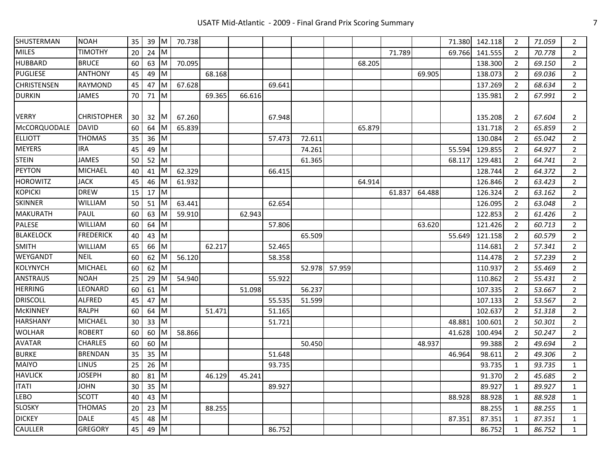| SHUSTERMAN       | <b>NOAH</b>        | 35 | 39   | $\mathsf{M}$ | 70.738 |        |        |        |        |        |        |        |        | 71.380 | 142.118 | $\overline{2}$ | 71.059 | $\overline{2}$ |
|------------------|--------------------|----|------|--------------|--------|--------|--------|--------|--------|--------|--------|--------|--------|--------|---------|----------------|--------|----------------|
| <b>MILES</b>     | <b>TIMOTHY</b>     | 20 | 24   | -IM          |        |        |        |        |        |        |        | 71.789 |        | 69.766 | 141.555 | 2              | 70.778 | $\overline{2}$ |
| <b>HUBBARD</b>   | <b>BRUCE</b>       | 60 | 63 M |              | 70.095 |        |        |        |        |        | 68.205 |        |        |        | 138.300 | $\overline{2}$ | 69.150 | $\overline{2}$ |
| <b>PUGLIESE</b>  | ANTHONY            | 45 | 49   | IΜ           |        | 68.168 |        |        |        |        |        |        | 69.905 |        | 138.073 | $\overline{2}$ | 69.036 | $\overline{2}$ |
| CHRISTENSEN      | RAYMOND            | 45 | 47   | Iм           | 67.628 |        |        | 69.641 |        |        |        |        |        |        | 137.269 | 2              | 68.634 | $\overline{2}$ |
| <b>DURKIN</b>    | JAMES              | 70 | 71   | Iм           |        | 69.365 | 66.616 |        |        |        |        |        |        |        | 135.981 | 2              | 67.991 | $\overline{2}$ |
| <b>VERRY</b>     | <b>CHRISTOPHER</b> | 30 | 32   | -IM          | 67.260 |        |        | 67.948 |        |        |        |        |        |        | 135.208 | 2              | 67.604 | 2              |
| McCORQUODALE     | <b>DAVID</b>       | 60 | 64   | 1M           | 65.839 |        |        |        |        |        | 65.879 |        |        |        | 131.718 | 2              | 65.859 | $\overline{2}$ |
| <b>ELLIOTT</b>   | <b>THOMAS</b>      | 35 | 36   | <b>IM</b>    |        |        |        | 57.473 | 72.611 |        |        |        |        |        | 130.084 | 2              | 65.042 | $\overline{2}$ |
| <b>MEYERS</b>    | IRA                | 45 | 49   | <b>IM</b>    |        |        |        |        | 74.261 |        |        |        |        | 55.594 | 129.855 | $\overline{2}$ | 64.927 | $\overline{2}$ |
| <b>STEIN</b>     | <b>JAMES</b>       | 50 | 52   | M            |        |        |        |        | 61.365 |        |        |        |        | 68.117 | 129.481 | $\overline{2}$ | 64.741 | $\overline{2}$ |
| <b>PEYTON</b>    | MICHAEL            | 40 | 41   | IM           | 62.329 |        |        | 66.415 |        |        |        |        |        |        | 128.744 | 2              | 64.372 | 2              |
| <b>HOROWITZ</b>  | <b>JACK</b>        | 45 | 46   | Iм           | 61.932 |        |        |        |        |        | 64.914 |        |        |        | 126.846 | $\overline{2}$ | 63.423 | $\overline{2}$ |
| <b>KOPICKI</b>   | <b>DREW</b>        | 15 | 17   | ΙM           |        |        |        |        |        |        |        | 61.837 | 64.488 |        | 126.324 | 2              | 63.162 | $\overline{2}$ |
| SKINNER          | WILLIAM            | 50 | 51   | IM.          | 63.441 |        |        | 62.654 |        |        |        |        |        |        | 126.095 | $\overline{2}$ | 63.048 | $\overline{2}$ |
| <b>MAKURATH</b>  | PAUL               | 60 | 63   | Iм           | 59.910 |        | 62.943 |        |        |        |        |        |        |        | 122.853 | 2              | 61.426 | $\overline{2}$ |
| PALESE           | WILLIAM            | 60 | 64   | M            |        |        |        | 57.806 |        |        |        |        | 63.620 |        | 121.426 | 2              | 60.713 | $\overline{2}$ |
| <b>BLAKELOCK</b> | <b>FREDERICK</b>   | 40 | 43   | M            |        |        |        |        | 65.509 |        |        |        |        | 55.649 | 121.158 | 2              | 60.579 | $\overline{2}$ |
| <b>SMITH</b>     | <b>WILLIAM</b>     | 65 | 66   | <b>IM</b>    |        | 62.217 |        | 52.465 |        |        |        |        |        |        | 114.681 | 2              | 57.341 | $\overline{2}$ |
| WEYGANDT         | <b>NEIL</b>        | 60 | 62   | Iм           | 56.120 |        |        | 58.358 |        |        |        |        |        |        | 114.478 | 2              | 57.239 | $\overline{2}$ |
| KOLYNYCH         | <b>MICHAEL</b>     | 60 | 62   | Iм           |        |        |        |        | 52.978 | 57.959 |        |        |        |        | 110.937 | 2              | 55.469 | $\overline{2}$ |
| <b>ANSTRAUS</b>  | <b>NOAH</b>        | 25 | 29   | Iм           | 54.940 |        |        | 55.922 |        |        |        |        |        |        | 110.862 | 2              | 55.431 | $\overline{2}$ |
| <b>HERRING</b>   | LEONARD            | 60 | 61   | ΙM           |        |        | 51.098 |        | 56.237 |        |        |        |        |        | 107.335 | 2              | 53.667 | $\overline{2}$ |
| <b>DRISCOLL</b>  | ALFRED             | 45 | 47   | Iм           |        |        |        | 55.535 | 51.599 |        |        |        |        |        | 107.133 | 2              | 53.567 | $\overline{2}$ |
| <b>McKINNEY</b>  | RALPH              | 60 | 64   | M            |        | 51.471 |        | 51.165 |        |        |        |        |        |        | 102.637 | 2              | 51.318 | $\overline{2}$ |
| <b>HARSHANY</b>  | <b>MICHAEL</b>     | 30 | 33   | <b>M</b>     |        |        |        | 51.721 |        |        |        |        |        | 48.881 | 100.601 | 2              | 50.301 | $\overline{2}$ |
| <b>WOLHAR</b>    | <b>ROBERT</b>      | 60 | 60   | <b>M</b>     | 58.866 |        |        |        |        |        |        |        |        | 41.628 | 100.494 | $\overline{2}$ | 50.247 | $\overline{2}$ |
| <b>AVATAR</b>    | <b>CHARLES</b>     | 60 | 60   | M            |        |        |        |        | 50.450 |        |        |        | 48.937 |        | 99.388  | $\overline{2}$ | 49.694 | $\overline{2}$ |
| <b>BURKE</b>     | <b>BRENDAN</b>     | 35 | 35   | M            |        |        |        | 51.648 |        |        |        |        |        | 46.964 | 98.611  | $\overline{2}$ | 49.306 | $\overline{2}$ |
| <b>MAIYO</b>     | <b>LINUS</b>       | 25 | 26   | $\mathsf{M}$ |        |        |        | 93.735 |        |        |        |        |        |        | 93.735  | 1              | 93.735 | $\mathbf{1}$   |
| <b>HAVLICK</b>   | <b>JOSEPH</b>      | 80 | 81   | <b>M</b>     |        | 46.129 | 45.241 |        |        |        |        |        |        |        | 91.370  | $\overline{2}$ | 45.685 | $\overline{2}$ |
| <b>ITATI</b>     | <b>JOHN</b>        | 30 | 35   | <b>M</b>     |        |        |        | 89.927 |        |        |        |        |        |        | 89.927  | 1              | 89.927 | $\mathbf{1}$   |
| LEBO             | <b>SCOTT</b>       | 40 | 43   | Iм           |        |        |        |        |        |        |        |        |        | 88.928 | 88.928  | $\mathbf{1}$   | 88.928 | $\mathbf{1}$   |
| <b>SLOSKY</b>    | <b>THOMAS</b>      | 20 | 23   | Iм           |        | 88.255 |        |        |        |        |        |        |        |        | 88.255  | $\mathbf{1}$   | 88.255 | $\mathbf{1}$   |
| <b>DICKEY</b>    | <b>DALE</b>        | 45 | 48   | M            |        |        |        |        |        |        |        |        |        | 87.351 | 87.351  | 1              | 87.351 | $\mathbf{1}$   |
| <b>CAULLER</b>   | <b>GREGORY</b>     | 45 | 49   | M            |        |        |        | 86.752 |        |        |        |        |        |        | 86.752  | $\mathbf{1}$   | 86.752 | $\mathbf{1}$   |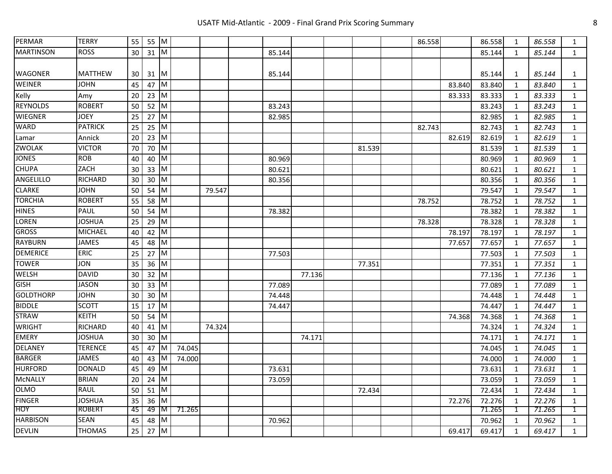| PERMAR           | <b>TERRY</b>   | 55 | 55 M |                         |        |        |        |        |        | 86.558 |        | 86.558 | 1            | 86.558 | $\mathbf{1}$ |
|------------------|----------------|----|------|-------------------------|--------|--------|--------|--------|--------|--------|--------|--------|--------------|--------|--------------|
| <b>MARTINSON</b> | <b>ROSS</b>    | 30 | 31 M |                         |        |        | 85.144 |        |        |        |        | 85.144 | 1            | 85.144 | 1            |
|                  |                |    |      |                         |        |        |        |        |        |        |        |        |              |        |              |
| WAGONER          | <b>MATTHEW</b> | 30 | 31   | <b>IM</b>               |        |        | 85.144 |        |        |        |        | 85.144 | 1            | 85.144 | 1            |
| <b>WEINER</b>    | JOHN           | 45 | 47   | <b>M</b>                |        |        |        |        |        |        | 83.840 | 83.840 | 1            | 83.840 | 1            |
| Kelly            | Amy            | 20 | 23   | Iм                      |        |        |        |        |        |        | 83.333 | 83.333 | 1            | 83.333 | $\mathbf{1}$ |
| <b>REYNOLDS</b>  | <b>ROBERT</b>  | 50 | 52   | IМ                      |        |        | 83.243 |        |        |        |        | 83.243 | 1            | 83.243 | $\mathbf{1}$ |
| <b>WIEGNER</b>   | <b>JOEY</b>    | 25 | 27   | <b>IM</b>               |        |        | 82.985 |        |        |        |        | 82.985 | $\mathbf{1}$ | 82.985 | $\mathbf{1}$ |
| <b>WARD</b>      | <b>PATRICK</b> | 25 | 25   | <b>IM</b>               |        |        |        |        |        | 82.743 |        | 82.743 | $\mathbf{1}$ | 82.743 | $\mathbf{1}$ |
| Lamar            | Annick         | 20 | 23   | <b>IM</b>               |        |        |        |        |        |        | 82.619 | 82.619 | $\mathbf{1}$ | 82.619 | $\mathbf{1}$ |
| ZWOLAK           | <b>VICTOR</b>  | 70 | 70   | <b>IM</b>               |        |        |        |        | 81.539 |        |        | 81.539 | $\mathbf{1}$ | 81.539 | $\mathbf{1}$ |
| <b>JONES</b>     | <b>ROB</b>     | 40 | 40   | <b>IM</b>               |        |        | 80.969 |        |        |        |        | 80.969 | $\mathbf{1}$ | 80.969 | $\mathbf{1}$ |
| <b>CHUPA</b>     | ZACH           | 30 | 33   | <b>IM</b>               |        |        | 80.621 |        |        |        |        | 80.621 | 1            | 80.621 | $\mathbf{1}$ |
| <b>ANGELILLO</b> | <b>RICHARD</b> | 30 | 30   | <b>IM</b>               |        |        | 80.356 |        |        |        |        | 80.356 | 1            | 80.356 | $\mathbf{1}$ |
| <b>CLARKE</b>    | <b>JOHN</b>    | 50 | 54 M |                         |        | 79.547 |        |        |        |        |        | 79.547 | 1            | 79.547 | $\mathbf{1}$ |
| <b>TORCHIA</b>   | <b>ROBERT</b>  | 55 | 58   | <b>M</b>                |        |        |        |        |        | 78.752 |        | 78.752 | 1            | 78.752 | $\mathbf{1}$ |
| <b>HINES</b>     | <b>PAUL</b>    | 50 | 54   | M                       |        |        | 78.382 |        |        |        |        | 78.382 | 1            | 78.382 | $\mathbf{1}$ |
| LOREN            | <b>JOSHUA</b>  | 25 | 29   | M                       |        |        |        |        |        | 78.328 |        | 78.328 | 1            | 78.328 | $\mathbf{1}$ |
| <b>GROSS</b>     | <b>MICHAEL</b> | 40 | 42   | M                       |        |        |        |        |        |        | 78.197 | 78.197 | 1            | 78.197 | $\mathbf{1}$ |
| <b>RAYBURN</b>   | <b>JAMES</b>   | 45 | 48   | M                       |        |        |        |        |        |        | 77.657 | 77.657 | 1            | 77.657 | $\mathbf{1}$ |
| <b>DEMERICE</b>  | <b>ERIC</b>    | 25 | 27   | M                       |        |        | 77.503 |        |        |        |        | 77.503 | 1            | 77.503 | $\mathbf{1}$ |
| <b>TOWER</b>     | JON            | 35 | 36   | M                       |        |        |        |        | 77.351 |        |        | 77.351 | 1            | 77.351 | $\mathbf{1}$ |
| <b>WELSH</b>     | <b>DAVID</b>   | 30 | 32   | Iм                      |        |        |        | 77.136 |        |        |        | 77.136 | $\mathbf{1}$ | 77.136 | $\mathbf{1}$ |
| <b>GISH</b>      | JASON          | 30 | 33   | <b>M</b>                |        |        | 77.089 |        |        |        |        | 77.089 | 1            | 77.089 | $\mathbf{1}$ |
| <b>GOLDTHORP</b> | <b>JOHN</b>    | 30 | 30   | IM.                     |        |        | 74.448 |        |        |        |        | 74.448 | 1            | 74.448 | $\mathbf{1}$ |
| <b>BIDDLE</b>    | <b>SCOTT</b>   | 15 | 17   | <b>M</b>                |        |        | 74.447 |        |        |        |        | 74.447 | 1            | 74.447 | 1            |
| <b>STRAW</b>     | <b>KEITH</b>   | 50 | 54   | <b>IM</b>               |        |        |        |        |        |        | 74.368 | 74.368 | 1            | 74.368 | $\mathbf{1}$ |
| <b>WRIGHT</b>    | RICHARD        | 40 | 41   | <b>IM</b>               |        | 74.324 |        |        |        |        |        | 74.324 | 1            | 74.324 | $\mathbf{1}$ |
| <b>EMERY</b>     | <b>JOSHUA</b>  | 30 | 30   | <b>IM</b>               |        |        |        | 74.171 |        |        |        | 74.171 | $\mathbf{1}$ | 74.171 | $\mathbf{1}$ |
| <b>DELANEY</b>   | <b>TERENCE</b> | 45 | 47   | IМ                      | 74.045 |        |        |        |        |        |        | 74.045 | 1            | 74.045 | $\mathbf{1}$ |
| <b>BARGER</b>    | <b>JAMES</b>   | 40 | 43   | 1M                      | 74.000 |        |        |        |        |        |        | 74.000 | 1            | 74.000 | $\mathbf{1}$ |
| <b>HURFORD</b>   | <b>DONALD</b>  | 45 | 49   | IМ                      |        |        | 73.631 |        |        |        |        | 73.631 | $\mathbf{1}$ | 73.631 | $\mathbf{1}$ |
| <b>McNALLY</b>   | <b>BRIAN</b>   | 20 | 24   | M                       |        |        | 73.059 |        |        |        |        | 73.059 | $\mathbf{1}$ | 73.059 | $\mathbf 1$  |
| <b>OLMO</b>      | RAUL           | 50 | 51   | M                       |        |        |        |        | 72.434 |        |        | 72.434 | $\mathbf{1}$ | 72.434 | $\mathbf{1}$ |
| <b>FINGER</b>    | JOSHUA         | 35 | 36   | <b>IM</b>               |        |        |        |        |        |        | 72.276 | 72.276 | 1            | 72.276 | $\mathbf{1}$ |
| HOY              | <b>ROBERT</b>  | 45 | 49   | ∏M ∣                    | 71.265 |        |        |        |        |        |        | 71.265 | 1            | 71.265 | 1            |
| <b>HARBISON</b>  | <b>SEAN</b>    | 45 | 48   | <b>M</b>                |        |        | 70.962 |        |        |        |        | 70.962 | $\mathbf{1}$ | 70.962 | $\mathbf{1}$ |
| <b>DEVLIN</b>    | <b>THOMAS</b>  | 25 | 27   | $\overline{\mathsf{M}}$ |        |        |        |        |        |        | 69.417 | 69.417 | $\mathbf{1}$ | 69.417 | $\mathbf{1}$ |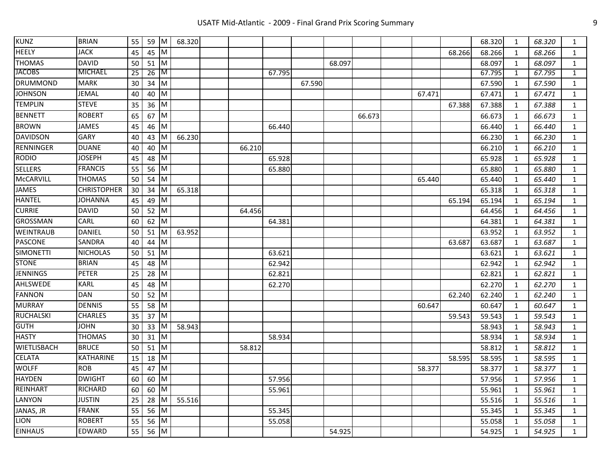| <b>KUNZ</b>        | <b>BRIAN</b>       | 55 | 59   | IM.       | 68.320 |        |        |        |        |        |        |        | 68.320 | 1            | 68.320 | $\mathbf{1}$ |
|--------------------|--------------------|----|------|-----------|--------|--------|--------|--------|--------|--------|--------|--------|--------|--------------|--------|--------------|
| HEELY              | JACK               | 45 | 45   | IМ        |        |        |        |        |        |        |        | 68.266 | 68.266 | 1            | 68.266 | $\mathbf{1}$ |
| <b>THOMAS</b>      | <b>DAVID</b>       | 50 | 51   | M         |        |        |        |        | 68.097 |        |        |        | 68.097 | 1            | 68.097 | $\mathbf{1}$ |
| <b>JACOBS</b>      | <b>MICHAEL</b>     | 25 | 26   | IМ        |        |        | 67.795 |        |        |        |        |        | 67.795 | $\mathbf{1}$ | 67.795 | $\mathbf{1}$ |
| <b>DRUMMOND</b>    | <b>MARK</b>        | 30 | 34   | M         |        |        |        | 67.590 |        |        |        |        | 67.590 | $\mathbf{1}$ | 67.590 | $\mathbf{1}$ |
| <b>JOHNSON</b>     | <b>JEMAL</b>       | 40 | 40   | ΙM        |        |        |        |        |        |        | 67.471 |        | 67.471 | 1            | 67.471 | $\mathbf{1}$ |
| <b>TEMPLIN</b>     | <b>STEVE</b>       | 35 | 36   | M         |        |        |        |        |        |        |        | 67.388 | 67.388 | $\mathbf{1}$ | 67.388 | $\mathbf{1}$ |
| <b>BENNETT</b>     | <b>ROBERT</b>      | 65 | 67   | ΙM        |        |        |        |        |        | 66.673 |        |        | 66.673 | 1            | 66.673 | $\mathbf{1}$ |
| <b>BROWN</b>       | JAMES              | 45 | 46   | M         |        |        | 66.440 |        |        |        |        |        | 66.440 | 1            | 66.440 | 1            |
| <b>DAVIDSON</b>    | <b>GARY</b>        | 40 | 43   | ΙM        | 66.230 |        |        |        |        |        |        |        | 66.230 | 1            | 66.230 | 1            |
| RENNINGER          | <b>DUANE</b>       | 40 | 40   | ΙM        |        | 66.210 |        |        |        |        |        |        | 66.210 | 1            | 66.210 | $\mathbf{1}$ |
| <b>RODIO</b>       | <b>JOSEPH</b>      | 45 | 48   | ΙM        |        |        | 65.928 |        |        |        |        |        | 65.928 | 1            | 65.928 | $\mathbf{1}$ |
| <b>SELLERS</b>     | <b>FRANCIS</b>     | 55 | 56   | ΙM        |        |        | 65.880 |        |        |        |        |        | 65.880 | 1            | 65.880 | $\mathbf{1}$ |
| <b>McCARVILL</b>   | <b>THOMAS</b>      | 50 | 54   | M         |        |        |        |        |        |        | 65.440 |        | 65.440 | 1            | 65.440 | 1            |
| JAMES              | <b>CHRISTOPHER</b> | 30 | 34   | ΙM        | 65.318 |        |        |        |        |        |        |        | 65.318 | 1            | 65.318 | $\mathbf{1}$ |
| <b>HANTEL</b>      | <b>JOHANNA</b>     | 45 | 49   | ΙM        |        |        |        |        |        |        |        | 65.194 | 65.194 | 1            | 65.194 | $\mathbf{1}$ |
| <b>CURRIE</b>      | <b>DAVID</b>       | 50 | 52   | <b>IM</b> |        | 64.456 |        |        |        |        |        |        | 64.456 | $\mathbf{1}$ | 64.456 | $\mathbf{1}$ |
| <b>GROSSMAN</b>    | CARL               | 60 | 62   | ΙM        |        |        | 64.381 |        |        |        |        |        | 64.381 | $\mathbf{1}$ | 64.381 | $\mathbf{1}$ |
| <b>WEINTRAUB</b>   | <b>DANIEL</b>      | 50 | 51   | M         | 63.952 |        |        |        |        |        |        |        | 63.952 | $\mathbf{1}$ | 63.952 | $\mathbf{1}$ |
| PASCONE            | <b>SANDRA</b>      | 40 | 44   | M         |        |        |        |        |        |        |        | 63.687 | 63.687 | $\mathbf{1}$ | 63.687 | $\mathbf{1}$ |
| <b>SIMONETTI</b>   | <b>NICHOLAS</b>    | 50 | 51   | M         |        |        | 63.621 |        |        |        |        |        | 63.621 | 1            | 63.621 | $\mathbf{1}$ |
| <b>STONE</b>       | <b>BRIAN</b>       | 45 | 48   | ΙM        |        |        | 62.942 |        |        |        |        |        | 62.942 | 1            | 62.942 | $\mathbf{1}$ |
| <b>JENNINGS</b>    | <b>PETER</b>       | 25 | 28   | ΙM        |        |        | 62.821 |        |        |        |        |        | 62.821 | 1            | 62.821 | $\mathbf{1}$ |
| AHLSWEDE           | <b>KARL</b>        | 45 | 48   | M         |        |        | 62.270 |        |        |        |        |        | 62.270 | $\mathbf{1}$ | 62.270 | $\mathbf{1}$ |
| <b>FANNON</b>      | <b>DAN</b>         | 50 | 52   | M         |        |        |        |        |        |        |        | 62.240 | 62.240 | 1            | 62.240 | $\mathbf{1}$ |
| <b>MURRAY</b>      | <b>DENNIS</b>      | 55 | 58   | M         |        |        |        |        |        |        | 60.647 |        | 60.647 | $\mathbf{1}$ | 60.647 | $\mathbf{1}$ |
| <b>RUCHALSKI</b>   | <b>CHARLES</b>     | 35 | 37   | IМ        |        |        |        |        |        |        |        | 59.543 | 59.543 | 1            | 59.543 | $\mathbf{1}$ |
| <b>GUTH</b>        | JOHN               | 30 | 33   | ΙM        | 58.943 |        |        |        |        |        |        |        | 58.943 | $\mathbf{1}$ | 58.943 | $\mathbf{1}$ |
| <b>HASTY</b>       | <b>THOMAS</b>      | 30 | 31   | IМ        |        |        | 58.934 |        |        |        |        |        | 58.934 | 1            | 58.934 | $\mathbf{1}$ |
| <b>WIETLISBACH</b> | <b>BRUCE</b>       | 50 | 51   | ΙM        |        | 58.812 |        |        |        |        |        |        | 58.812 | $\mathbf{1}$ | 58.812 | $\mathbf{1}$ |
| <b>CELATA</b>      | <b>KATHARINE</b>   | 15 | 18   | ΙM        |        |        |        |        |        |        |        | 58.595 | 58.595 | $\mathbf{1}$ | 58.595 | $\mathbf{1}$ |
| WOLFF              | <b>ROB</b>         | 45 | 47   | ΙM        |        |        |        |        |        |        | 58.377 |        | 58.377 | 1            | 58.377 | $\mathbf{1}$ |
| <b>HAYDEN</b>      | <b>DWIGHT</b>      | 60 | 60   | ΙM        |        |        | 57.956 |        |        |        |        |        | 57.956 | 1            | 57.956 | $\mathbf{1}$ |
| REINHART           | RICHARD            | 60 | 60   | <b>IM</b> |        |        | 55.961 |        |        |        |        |        | 55.961 | 1            | 55.961 | $\mathbf{1}$ |
| <b>LANYON</b>      | <b>JUSTIN</b>      | 25 | 28   | ΙM        | 55.516 |        |        |        |        |        |        |        | 55.516 | 1            | 55.516 | 1            |
| JANAS, JR          | <b>FRANK</b>       | 55 | 56   | ΙM        |        |        | 55.345 |        |        |        |        |        | 55.345 | 1            | 55.345 | $\mathbf{1}$ |
| LION               | <b>ROBERT</b>      | 55 | 56   | ΙM        |        |        | 55.058 |        |        |        |        |        | 55.058 | 1            | 55.058 | $\mathbf{1}$ |
| <b>EINHAUS</b>     | <b>EDWARD</b>      | 55 | 56 M |           |        |        |        |        | 54.925 |        |        |        | 54.925 | $\mathbf{1}$ | 54.925 | $\mathbf{1}$ |